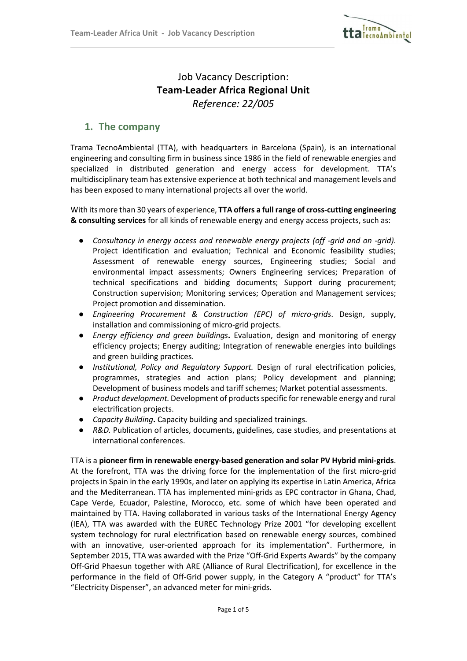

# Job Vacancy Description: Team-Leader Africa Regional Unit Reference: 22/005

### 1. The company

 $\overline{a}$ 

Trama TecnoAmbiental (TTA), with headquarters in Barcelona (Spain), is an international engineering and consulting firm in business since 1986 in the field of renewable energies and specialized in distributed generation and energy access for development. TTA's multidisciplinary team has extensive experience at both technical and management levels and has been exposed to many international projects all over the world.

With its more than 30 years of experience, TTA offers a full range of cross-cutting engineering & consulting services for all kinds of renewable energy and energy access projects, such as:

- Consultancy in energy access and renewable energy projects (off -grid and on -grid). Project identification and evaluation; Technical and Economic feasibility studies; Assessment of renewable energy sources, Engineering studies; Social and environmental impact assessments; Owners Engineering services; Preparation of technical specifications and bidding documents; Support during procurement; Construction supervision; Monitoring services; Operation and Management services; Project promotion and dissemination.
- Engineering Procurement & Construction (EPC) of micro-grids. Design, supply, installation and commissioning of micro-grid projects.
- Energy efficiency and green buildings. Evaluation, design and monitoring of energy efficiency projects; Energy auditing; Integration of renewable energies into buildings and green building practices.
- Institutional, Policy and Regulatory Support. Design of rural electrification policies, programmes, strategies and action plans; Policy development and planning; Development of business models and tariff schemes; Market potential assessments.
- Product development. Development of products specific for renewable energy and rural electrification projects.
- Capacity Building. Capacity building and specialized trainings.
- R&D. Publication of articles, documents, guidelines, case studies, and presentations at international conferences.

TTA is a pioneer firm in renewable energy-based generation and solar PV Hybrid mini-grids. At the forefront, TTA was the driving force for the implementation of the first micro-grid projects in Spain in the early 1990s, and later on applying its expertise in Latin America, Africa and the Mediterranean. TTA has implemented mini-grids as EPC contractor in Ghana, Chad, Cape Verde, Ecuador, Palestine, Morocco, etc. some of which have been operated and maintained by TTA. Having collaborated in various tasks of the International Energy Agency (IEA), TTA was awarded with the EUREC Technology Prize 2001 "for developing excellent system technology for rural electrification based on renewable energy sources, combined with an innovative, user-oriented approach for its implementation". Furthermore, in September 2015, TTA was awarded with the Prize "Off-Grid Experts Awards" by the company Off-Grid Phaesun together with ARE (Alliance of Rural Electrification), for excellence in the performance in the field of Off-Grid power supply, in the Category A "product" for TTA's "Electricity Dispenser", an advanced meter for mini-grids.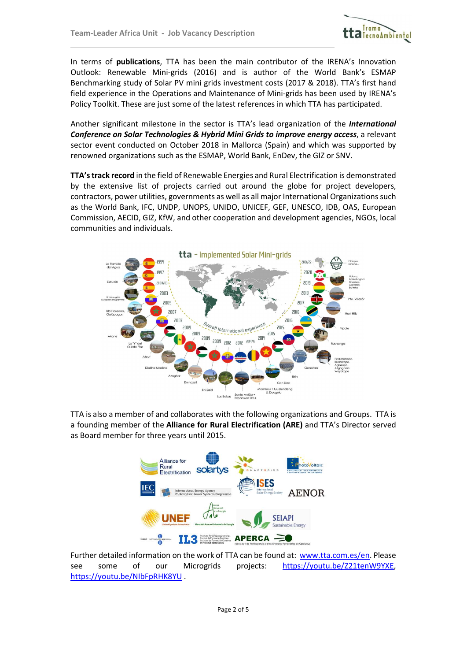$\overline{a}$ 



In terms of publications, TTA has been the main contributor of the IRENA's Innovation Outlook: Renewable Mini-grids (2016) and is author of the World Bank's ESMAP Benchmarking study of Solar PV mini grids investment costs (2017 & 2018). TTA's first hand field experience in the Operations and Maintenance of Mini-grids has been used by IRENA's Policy Toolkit. These are just some of the latest references in which TTA has participated.

Another significant milestone in the sector is TTA's lead organization of the *International* Conference on Solar Technologies & Hybrid Mini Grids to improve energy access, a relevant sector event conducted on October 2018 in Mallorca (Spain) and which was supported by renowned organizations such as the ESMAP, World Bank, EnDev, the GIZ or SNV.

TTA's track record in the field of Renewable Energies and Rural Electrification is demonstrated by the extensive list of projects carried out around the globe for project developers, contractors, power utilities, governments as well as all major International Organizations such as the World Bank, IFC, UNDP, UNOPS, UNIDO, UNICEF, GEF, UNESCO, IDB, OAS, European Commission, AECID, GIZ, KfW, and other cooperation and development agencies, NGOs, local communities and individuals.



TTA is also a member of and collaborates with the following organizations and Groups. TTA is a founding member of the Alliance for Rural Electrification (ARE) and TTA's Director served as Board member for three years until 2015.



Further detailed information on the work of TTA can be found at: www.tta.com.es/en. Please see some of our Microgrids projects: https://youtu.be/Z21tenW9YXE, https://youtu.be/NIbFpRHK8YU .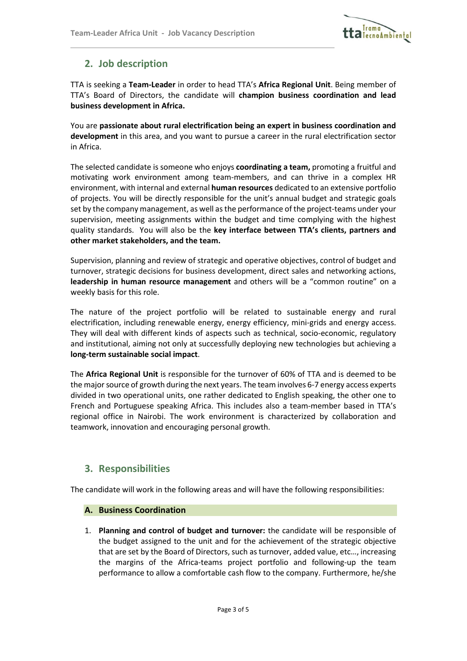

# 2. Job description

 $\overline{a}$ 

TTA is seeking a Team-Leader in order to head TTA's Africa Regional Unit. Being member of TTA's Board of Directors, the candidate will champion business coordination and lead business development in Africa.

You are passionate about rural electrification being an expert in business coordination and development in this area, and you want to pursue a career in the rural electrification sector in Africa.

The selected candidate is someone who enjoys coordinating a team, promoting a fruitful and motivating work environment among team-members, and can thrive in a complex HR environment, with internal and external human resources dedicated to an extensive portfolio of projects. You will be directly responsible for the unit's annual budget and strategic goals set by the company management, as well as the performance of the project-teams under your supervision, meeting assignments within the budget and time complying with the highest quality standards. You will also be the key interface between TTA's clients, partners and other market stakeholders, and the team.

Supervision, planning and review of strategic and operative objectives, control of budget and turnover, strategic decisions for business development, direct sales and networking actions, leadership in human resource management and others will be a "common routine" on a weekly basis for this role.

The nature of the project portfolio will be related to sustainable energy and rural electrification, including renewable energy, energy efficiency, mini-grids and energy access. They will deal with different kinds of aspects such as technical, socio-economic, regulatory and institutional, aiming not only at successfully deploying new technologies but achieving a long-term sustainable social impact.

The Africa Regional Unit is responsible for the turnover of 60% of TTA and is deemed to be the major source of growth during the next years. The team involves 6-7 energy access experts divided in two operational units, one rather dedicated to English speaking, the other one to French and Portuguese speaking Africa. This includes also a team-member based in TTA's regional office in Nairobi. The work environment is characterized by collaboration and teamwork, innovation and encouraging personal growth.

### 3. Responsibilities

The candidate will work in the following areas and will have the following responsibilities:

#### A. Business Coordination

1. Planning and control of budget and turnover: the candidate will be responsible of the budget assigned to the unit and for the achievement of the strategic objective that are set by the Board of Directors, such as turnover, added value, etc…, increasing the margins of the Africa-teams project portfolio and following-up the team performance to allow a comfortable cash flow to the company. Furthermore, he/she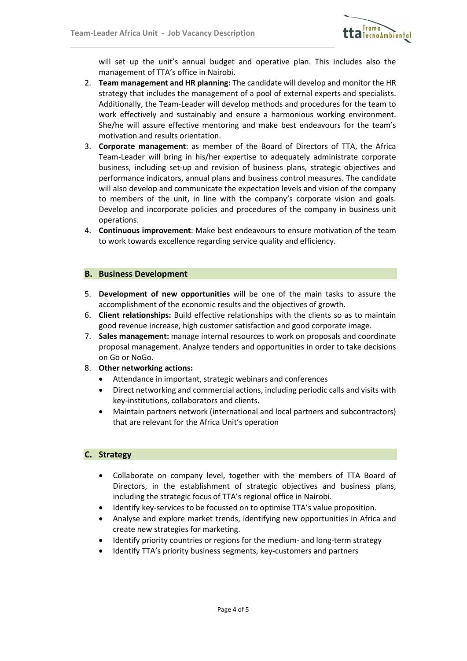$\overline{a}$ 



will set up the unit's annual budget and operative plan. This includes also the management of TTA's office in Nairobi.

- 2. Team management and HR planning: The candidate will develop and monitor the HR strategy that includes the management of a pool of external experts and specialists. Additionally, the Team-Leader will develop methods and procedures for the team to work effectively and sustainably and ensure a harmonious working environment. She/he will assure effective mentoring and make best endeavours for the team's motivation and results orientation.
- 3. Corporate management: as member of the Board of Directors of TTA, the Africa Team-Leader will bring in his/her expertise to adequately administrate corporate business, including set-up and revision of business plans, strategic objectives and performance indicators, annual plans and business control measures. The candidate will also develop and communicate the expectation levels and vision of the company to members of the unit, in line with the company's corporate vision and goals. Develop and incorporate policies and procedures of the company in business unit operations.
- 4. Continuous improvement: Make best endeavours to ensure motivation of the team to work towards excellence regarding service quality and efficiency.

#### B. Business Development

- 5. Development of new opportunities will be one of the main tasks to assure the accomplishment of the economic results and the objectives of growth.
- 6. Client relationships: Build effective relationships with the clients so as to maintain good revenue increase, high customer satisfaction and good corporate image.
- 7. Sales management: manage internal resources to work on proposals and coordinate proposal management. Analyze tenders and opportunities in order to take decisions on Go or NoGo.
- 8. Other networking actions:
	- Attendance in important, strategic webinars and conferences
	- Direct networking and commercial actions, including periodic calls and visits with key-institutions, collaborators and clients.
	- Maintain partners network (international and local partners and subcontractors) that are relevant for the Africa Unit's operation

#### C. Strategy

- Collaborate on company level, together with the members of TTA Board of Directors, in the establishment of strategic objectives and business plans, including the strategic focus of TTA's regional office in Nairobi.
- Identify key-services to be focussed on to optimise TTA's value proposition.
- Analyse and explore market trends, identifying new opportunities in Africa and create new strategies for marketing.
- Identify priority countries or regions for the medium- and long-term strategy
- Identify TTA's priority business segments, key-customers and partners